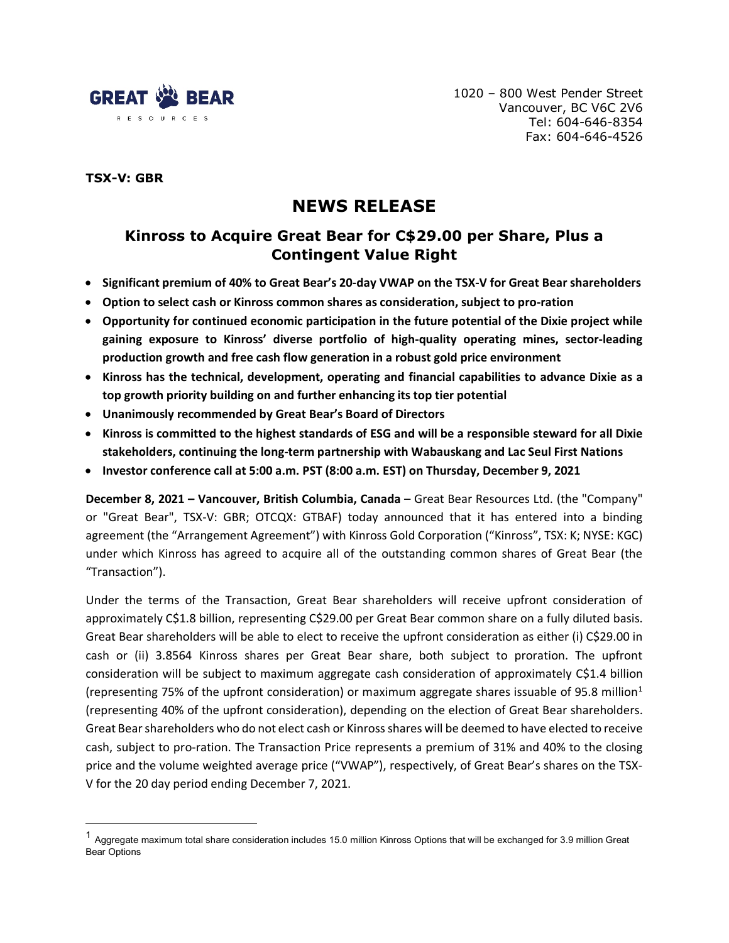

1020 – 800 West Pender Street Vancouver, BC V6C 2V6 Tel: 604-646-8354 Fax: 604-646-4526

# **TSX-V: GBR**

# **NEWS RELEASE**

# **Kinross to Acquire Great Bear for C\$29.00 per Share, Plus a Contingent Value Right**

- **Significant premium of 40% to Great Bear's 20-day VWAP on the TSX-V for Great Bear shareholders**
- **Option to select cash or Kinross common shares as consideration, subject to pro-ration**
- **Opportunity for continued economic participation in the future potential of the Dixie project while gaining exposure to Kinross' diverse portfolio of high-quality operating mines, sector-leading production growth and free cash flow generation in a robust gold price environment**
- **Kinross has the technical, development, operating and financial capabilities to advance Dixie as a top growth priority building on and further enhancing its top tier potential**
- **Unanimously recommended by Great Bear's Board of Directors**
- **Kinross is committed to the highest standards of ESG and will be a responsible steward for all Dixie stakeholders, continuing the long-term partnership with Wabauskang and Lac Seul First Nations**
- **Investor conference call at 5:00 a.m. PST (8:00 a.m. EST) on Thursday, December 9, 2021**

**December 8, 2021 – Vancouver, British Columbia, Canada** – Great Bear Resources Ltd. (the "Company" or "Great Bear", TSX-V: GBR; OTCQX: GTBAF) today announced that it has entered into a binding agreement (the "Arrangement Agreement") with Kinross Gold Corporation ("Kinross", TSX: K; NYSE: KGC) under which Kinross has agreed to acquire all of the outstanding common shares of Great Bear (the "Transaction").

Under the terms of the Transaction, Great Bear shareholders will receive upfront consideration of approximately C\$1.8 billion, representing C\$29.00 per Great Bear common share on a fully diluted basis. Great Bear shareholders will be able to elect to receive the upfront consideration as either (i) C\$29.00 in cash or (ii) 3.8564 Kinross shares per Great Bear share, both subject to proration. The upfront consideration will be subject to maximum aggregate cash consideration of approximately C\$1.4 billion (representing 75% of the upfront consideration) or maximum aggregate shares issuable of 95.8 million<sup>[1](#page-0-0)</sup> (representing 40% of the upfront consideration), depending on the election of Great Bear shareholders. Great Bear shareholders who do not elect cash or Kinross shares will be deemed to have elected to receive cash, subject to pro-ration. The Transaction Price represents a premium of 31% and 40% to the closing price and the volume weighted average price ("VWAP"), respectively, of Great Bear's shares on the TSX-V for the 20 day period ending December 7, 2021.

<span id="page-0-0"></span><sup>1</sup> Aggregate maximum total share consideration includes 15.0 million Kinross Options that will be exchanged for 3.9 million Great Bear Options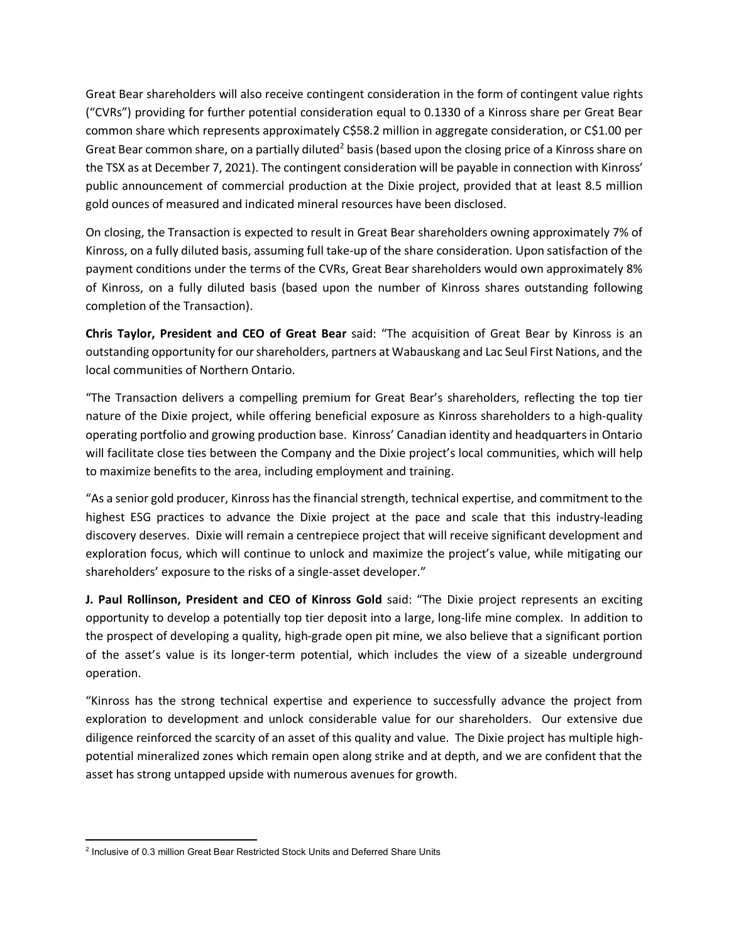Great Bear shareholders will also receive contingent consideration in the form of contingent value rights ("CVRs") providing for further potential consideration equal to 0.1330 of a Kinross share per Great Bear common share which represents approximately C\$58.2 million in aggregate consideration, or C\$1.00 per Great Bear common share, on a partially diluted<sup>[2](#page-1-0)</sup> basis (based upon the closing price of a Kinross share on the TSX as at December 7, 2021). The contingent consideration will be payable in connection with Kinross' public announcement of commercial production at the Dixie project, provided that at least 8.5 million gold ounces of measured and indicated mineral resources have been disclosed.

On closing, the Transaction is expected to result in Great Bear shareholders owning approximately 7% of Kinross, on a fully diluted basis, assuming full take-up of the share consideration. Upon satisfaction of the payment conditions under the terms of the CVRs, Great Bear shareholders would own approximately 8% of Kinross, on a fully diluted basis (based upon the number of Kinross shares outstanding following completion of the Transaction).

**Chris Taylor, President and CEO of Great Bear** said: "The acquisition of Great Bear by Kinross is an outstanding opportunity for ourshareholders, partners at Wabauskang and Lac Seul First Nations, and the local communities of Northern Ontario.

"The Transaction delivers a compelling premium for Great Bear's shareholders, reflecting the top tier nature of the Dixie project, while offering beneficial exposure as Kinross shareholders to a high-quality operating portfolio and growing production base. Kinross' Canadian identity and headquarters in Ontario will facilitate close ties between the Company and the Dixie project's local communities, which will help to maximize benefits to the area, including employment and training.

"As a senior gold producer, Kinross has the financial strength, technical expertise, and commitment to the highest ESG practices to advance the Dixie project at the pace and scale that this industry-leading discovery deserves. Dixie will remain a centrepiece project that will receive significant development and exploration focus, which will continue to unlock and maximize the project's value, while mitigating our shareholders' exposure to the risks of a single-asset developer."

**J. Paul Rollinson, President and CEO of Kinross Gold** said: "The Dixie project represents an exciting opportunity to develop a potentially top tier deposit into a large, long-life mine complex. In addition to the prospect of developing a quality, high-grade open pit mine, we also believe that a significant portion of the asset's value is its longer-term potential, which includes the view of a sizeable underground operation.

"Kinross has the strong technical expertise and experience to successfully advance the project from exploration to development and unlock considerable value for our shareholders. Our extensive due diligence reinforced the scarcity of an asset of this quality and value. The Dixie project has multiple highpotential mineralized zones which remain open along strike and at depth, and we are confident that the asset has strong untapped upside with numerous avenues for growth.

<span id="page-1-0"></span><sup>2</sup> Inclusive of 0.3 million Great Bear Restricted Stock Units and Deferred Share Units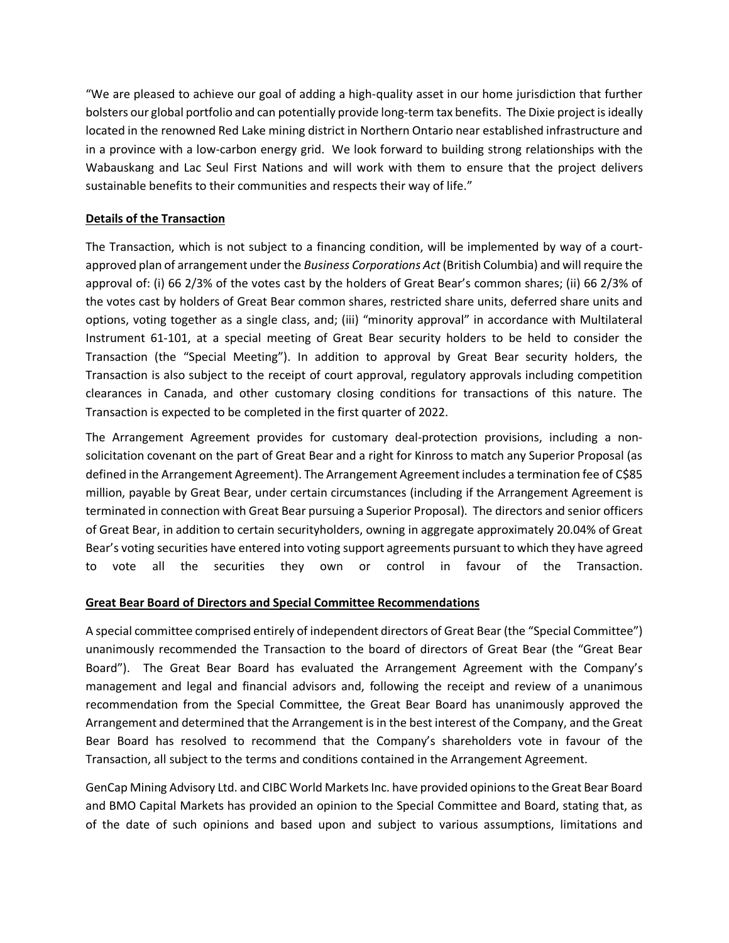"We are pleased to achieve our goal of adding a high-quality asset in our home jurisdiction that further bolsters our global portfolio and can potentially provide long-term tax benefits. The Dixie project is ideally located in the renowned Red Lake mining district in Northern Ontario near established infrastructure and in a province with a low-carbon energy grid. We look forward to building strong relationships with the Wabauskang and Lac Seul First Nations and will work with them to ensure that the project delivers sustainable benefits to their communities and respects their way of life."

# **Details of the Transaction**

The Transaction, which is not subject to a financing condition, will be implemented by way of a courtapproved plan of arrangement under the *Business Corporations Act* (British Columbia) and will require the approval of: (i) 66 2/3% of the votes cast by the holders of Great Bear's common shares; (ii) 66 2/3% of the votes cast by holders of Great Bear common shares, restricted share units, deferred share units and options, voting together as a single class, and; (iii) "minority approval" in accordance with Multilateral Instrument 61-101, at a special meeting of Great Bear security holders to be held to consider the Transaction (the "Special Meeting"). In addition to approval by Great Bear security holders, the Transaction is also subject to the receipt of court approval, regulatory approvals including competition clearances in Canada, and other customary closing conditions for transactions of this nature. The Transaction is expected to be completed in the first quarter of 2022.

The Arrangement Agreement provides for customary deal-protection provisions, including a nonsolicitation covenant on the part of Great Bear and a right for Kinross to match any Superior Proposal (as defined in the Arrangement Agreement). The Arrangement Agreement includes a termination fee of C\$85 million, payable by Great Bear, under certain circumstances (including if the Arrangement Agreement is terminated in connection with Great Bear pursuing a Superior Proposal). The directors and senior officers of Great Bear, in addition to certain securityholders, owning in aggregate approximately 20.04% of Great Bear's voting securities have entered into voting support agreements pursuant to which they have agreed to vote all the securities they own or control in favour of the Transaction.

## **Great Bear Board of Directors and Special Committee Recommendations**

A special committee comprised entirely of independent directors of Great Bear (the "Special Committee") unanimously recommended the Transaction to the board of directors of Great Bear (the "Great Bear Board"). The Great Bear Board has evaluated the Arrangement Agreement with the Company's management and legal and financial advisors and, following the receipt and review of a unanimous recommendation from the Special Committee, the Great Bear Board has unanimously approved the Arrangement and determined that the Arrangement is in the best interest of the Company, and the Great Bear Board has resolved to recommend that the Company's shareholders vote in favour of the Transaction, all subject to the terms and conditions contained in the Arrangement Agreement.

GenCap Mining Advisory Ltd. and CIBC World Markets Inc. have provided opinions to the Great Bear Board and BMO Capital Markets has provided an opinion to the Special Committee and Board, stating that, as of the date of such opinions and based upon and subject to various assumptions, limitations and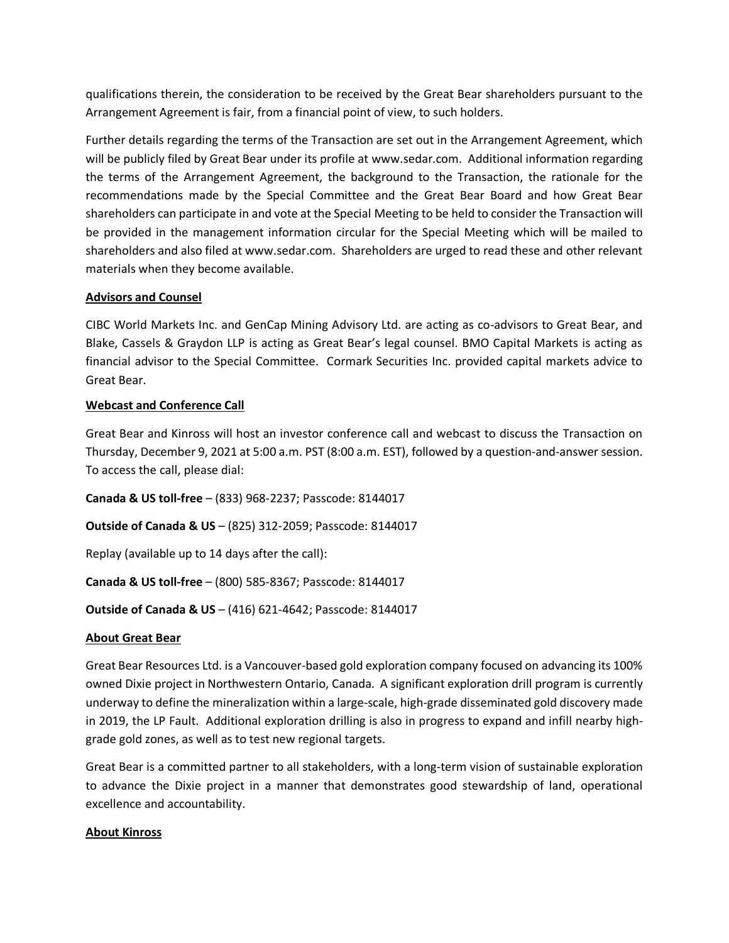qualifications therein, the consideration to be received by the Great Bear shareholders pursuant to the Arrangement Agreement is fair, from a financial point of view, to such holders.

Further details regarding the terms of the Transaction are set out in the Arrangement Agreement, which will be publicly filed by Great Bear under its profile at www.sedar.com. Additional information regarding the terms of the Arrangement Agreement, the background to the Transaction, the rationale for the recommendations made by the Special Committee and the Great Bear Board and how Great Bear shareholders can participate in and vote at the Special Meeting to be held to consider the Transaction will be provided in the management information circular for the Special Meeting which will be mailed to shareholders and also filed at www.sedar.com. Shareholders are urged to read these and other relevant materials when they become available.

# **Advisors and Counsel**

CIBC World Markets Inc. and GenCap Mining Advisory Ltd. are acting as co-advisors to Great Bear, and Blake, Cassels & Graydon LLP is acting as Great Bear's legal counsel. BMO Capital Markets is acting as financial advisor to the Special Committee. Cormark Securities Inc. provided capital markets advice to Great Bear.

# **Webcast and Conference Call**

Great Bear and Kinross will host an investor conference call and webcast to discuss the Transaction on Thursday, December 9, 2021 at 5:00 a.m. PST (8:00 a.m. EST), followed by a question-and-answer session. To access the call, please dial:

**Canada & US toll-free** – (833) 968-2237; Passcode: 8144017

**Outside of Canada & US** – (825) 312-2059; Passcode: 8144017

Replay (available up to 14 days after the call):

**Canada & US toll-free** – (800) 585-8367; Passcode: 8144017

## **Outside of Canada & US** – (416) 621-4642; Passcode: 8144017

## **About Great Bear**

Great Bear Resources Ltd. is a Vancouver-based gold exploration company focused on advancing its 100% owned Dixie project in Northwestern Ontario, Canada. A significant exploration drill program is currently underway to define the mineralization within a large-scale, high-grade disseminated gold discovery made in 2019, the LP Fault. Additional exploration drilling is also in progress to expand and infill nearby highgrade gold zones, as well as to test new regional targets.

Great Bear is a committed partner to all stakeholders, with a long-term vision of sustainable exploration to advance the Dixie project in a manner that demonstrates good stewardship of land, operational excellence and accountability.

## **About Kinross**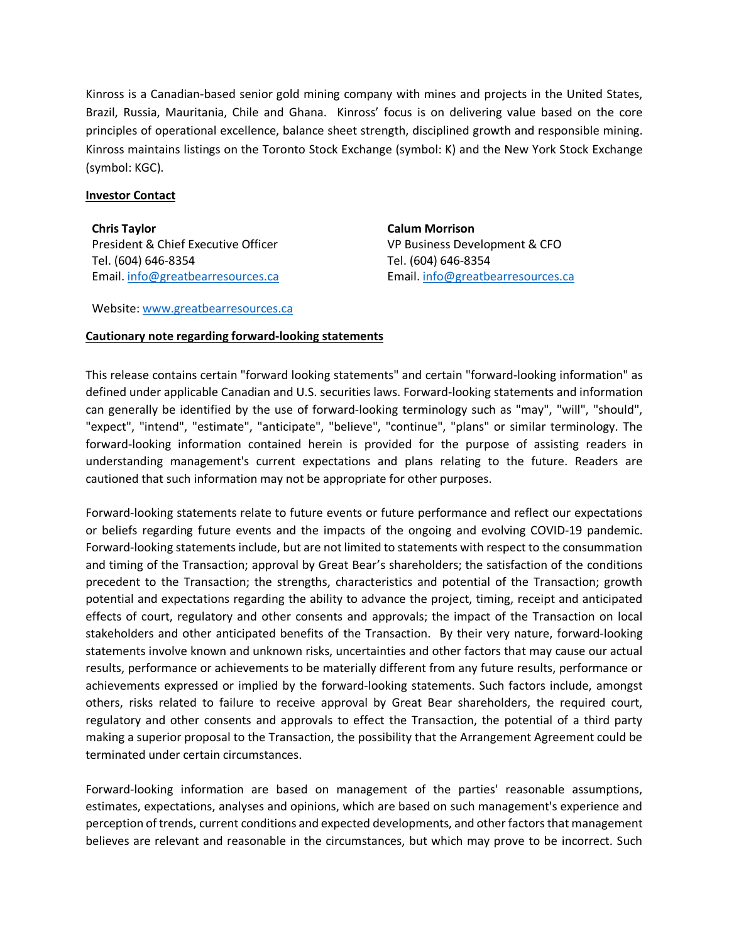Kinross is a Canadian-based senior gold mining company with mines and projects in the United States, Brazil, Russia, Mauritania, Chile and Ghana. Kinross' focus is on delivering value based on the core principles of operational excellence, balance sheet strength, disciplined growth and responsible mining. Kinross maintains listings on the Toronto Stock Exchange (symbol: K) and the New York Stock Exchange (symbol: KGC).

#### **Investor Contact**

**Chris Taylor** President & Chief Executive Officer Tel. (604) 646-8354 Email. [info@greatbearresources.ca](mailto:info@greatbearresources.ca) **Calum Morrison** VP Business Development & CFO Tel. (604) 646-8354 Email. [info@greatbearresources.ca](mailto:info@greatbearresources.ca)

Website: [www.greatbearresources.ca](http://www.greatbearresources.ca/)

## **Cautionary note regarding forward-looking statements**

This release contains certain "forward looking statements" and certain "forward-looking information" as defined under applicable Canadian and U.S. securities laws. Forward-looking statements and information can generally be identified by the use of forward-looking terminology such as "may", "will", "should", "expect", "intend", "estimate", "anticipate", "believe", "continue", "plans" or similar terminology. The forward-looking information contained herein is provided for the purpose of assisting readers in understanding management's current expectations and plans relating to the future. Readers are cautioned that such information may not be appropriate for other purposes.

Forward-looking statements relate to future events or future performance and reflect our expectations or beliefs regarding future events and the impacts of the ongoing and evolving COVID-19 pandemic. Forward-looking statements include, but are not limited to statements with respect to the consummation and timing of the Transaction; approval by Great Bear's shareholders; the satisfaction of the conditions precedent to the Transaction; the strengths, characteristics and potential of the Transaction; growth potential and expectations regarding the ability to advance the project, timing, receipt and anticipated effects of court, regulatory and other consents and approvals; the impact of the Transaction on local stakeholders and other anticipated benefits of the Transaction. By their very nature, forward-looking statements involve known and unknown risks, uncertainties and other factors that may cause our actual results, performance or achievements to be materially different from any future results, performance or achievements expressed or implied by the forward-looking statements. Such factors include, amongst others, risks related to failure to receive approval by Great Bear shareholders, the required court, regulatory and other consents and approvals to effect the Transaction, the potential of a third party making a superior proposal to the Transaction, the possibility that the Arrangement Agreement could be terminated under certain circumstances.

Forward-looking information are based on management of the parties' reasonable assumptions, estimates, expectations, analyses and opinions, which are based on such management's experience and perception of trends, current conditions and expected developments, and other factors that management believes are relevant and reasonable in the circumstances, but which may prove to be incorrect. Such